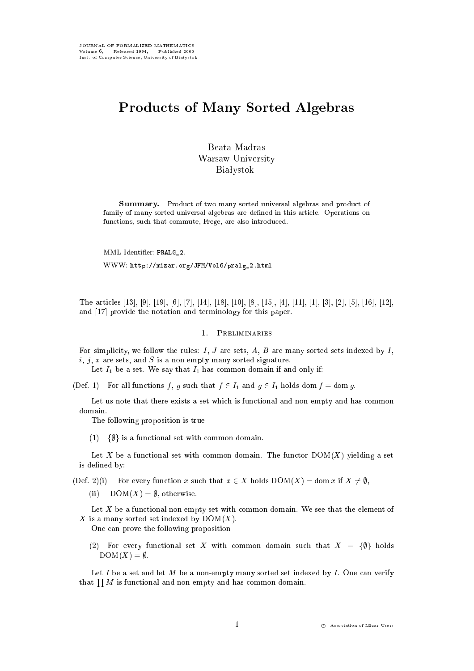# Products of Many Sorted Algebras

Beata Madras Warsaw University **Białystok** 

Summary. Product of two many sorted universal algebras and product of family of many sorted universal algebras are dened in this article. Operations on functions, such that commute, Frege, are also introduced.

MML Identier: PRALG\_2. WWW: http://mizar.org/JFM/Vol6/pralg\_2.html

The articles [13], [9], [19], [6], [7], [14], [18], [10], [8], [15], [4], [11], [1], [3], [2], [5], [16], [12], and [17] provide the notation and terminology for this paper.

## 1. Preliminaries

For simplicity, we follow the rules:  $I, J$  are sets,  $A, B$  are many sorted sets indexed by  $I$ ,  $i, j, x$  are sets, and S is a non empty many sorted signature.

Let  $I_1$  be a set. We say that  $I_1$  has common domain if and only if:

(Def. 1) For all functions f, g such that  $f \in I_1$  and  $g \in I_1$  holds dom  $f = \text{dom } g$ .

Let us note that there exists a set which is functional and non empty and has common domain.

The following proposition is true

 $(1)$  { $\emptyset$ } is a functional set with common domain.

Let X be a functional set with common domain. The functor  $DOM(X)$  yielding a set is defined by:

(Def. 2)(i) For every function x such that  $x \in X$  holds  $DOM(X) = dom x$  if  $X \neq \emptyset$ ,

(ii)  $DOM(X) = \emptyset$ , otherwise.

Let  $X$  be a functional non empty set with common domain. We see that the element of X is a many sorted set indexed by  $DOM(X)$ .

One can prove the following proposition

(2) For every functional set X with common domain such that  $X = \{\emptyset\}$  holds  $DOM(X) = \emptyset.$ 

Let I be a set and let M be a non-empty many sorted set indexed by I. One can verify that  $\prod M$  is functional and non empty and has common domain.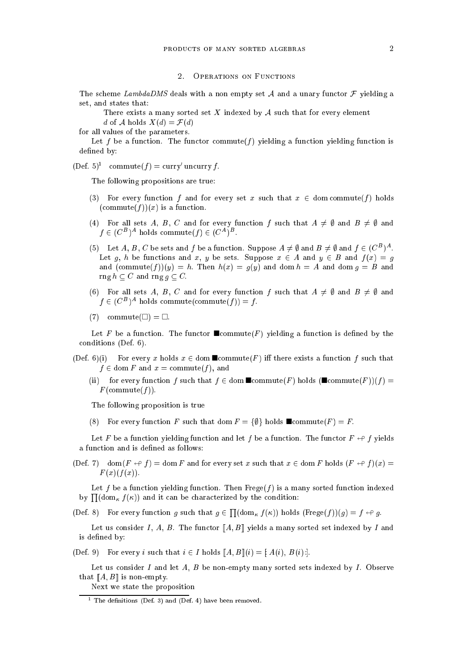#### **OPERATIONS ON FUNCTIONS**  $2<sup>1</sup>$

The scheme LambdaDMS deals with a non empty set A and a unary functor  $\mathcal F$  yielding a set, and states that:

There exists a many sorted set  $X$  indexed by  $A$  such that for every element d of A holds  $X(d) = \mathcal{F}(d)$ 

for all values of the parameters.

Let f be a function. The functor commute  $(f)$  yielding a function yielding function is defined by:

(Def.  $\delta$ ) commute(f) = curry uncurry f.

The following propositions are true:

- (3) For every function f and for every set x such that  $x \in \text{dom commute}(f)$  holds  $(\text{commute}(f))(x)$  is a function.
- (4) For all sets A, B, C and for every function f such that  $A \neq \emptyset$  and  $B \neq \emptyset$  and  $f \in (C^B)^A$  holds commute $(f) \in (C^A)^B$ .
- (5) Let A, B, C be sets and f be a function. Suppose  $A \neq \emptyset$  and  $B \neq \emptyset$  and  $f \in (C^B)^A$ . Let g, h be functions and x, y be sets. Suppose  $x \in A$  and  $y \in B$  and  $f(x) = g$ and  $(\text{commute}(f))(y) = h$ . Then  $h(x) = g(y)$  and  $\text{dom } h = A$  and  $\text{dom } g = B$  and  $\text{rng } h \subset C$  and  $\text{rng } g \subset C.$
- (6) For all sets A, B, C and for every function f such that  $A \neq \emptyset$  and  $B \neq \emptyset$  and  $f \in (C^B)^A$  holds commute(commute(f)) = f.
- $(7)$  commute $(\square) = \square$ .

Let F be a function. The functor  $\blacksquare$ commute(F) yielding a function is defined by the conditions (Def. 6).

- (Def. 6)(i) For every x holds  $x \in \text{dom } \blacksquare \text{commute}(F)$  iff there exists a function f such that  $f \in \text{dom } F$  and  $x = \text{commute}(f)$ , and
	- (ii) for every function f such that  $f \in \text{dom } \blacksquare \text{commute}(F)$  holds  $(\blacksquare \text{commute}(F))(f) =$  $F$ (commute $(f)$ ).

The following proposition is true

(8) For every function F such that dom  $F = \{\emptyset\}$  holds  $\blacksquare$ commute(F) = F.

Let F be a function yielding function and let f be a function. The functor  $F \nleftrightarrow f$  yields a function and is defined as follows:

(Def. 7) dom( $F \leftrightarrow f$ ) = dom F and for every set x such that  $x \in$  dom F holds  $(F \leftrightarrow f)(x)$  =  $F(x)(f(x)).$ 

Let f be a function yielding function. Then  $Fregef$  is a many sorted function indexed by  $\prod(\mathrm{dom}_{\kappa} f(\kappa))$  and it can be characterized by the condition:

(Def. 8) For every function g such that  $g \in \prod(\mathrm{dom}_{\kappa} f(\kappa))$  holds  $(\mathrm{Free}(f))(g) = f \leftrightarrow g$ .

Let us consider I, A, B. The functor  $[[A, B]]$  yields a many sorted set indexed by I and is defined by:

(Def. 9) For every i such that  $i \in I$  holds  $[[A, B]](i) = [A(i), B(i)].$ 

Let us consider I and let A, B be non-empty many sorted sets indexed by I. Observe that  $[A, B]$  is non-empty.

Next we state the proposition

<sup>1</sup> The denitions (Def. 3) and (Def. 4) have been removed.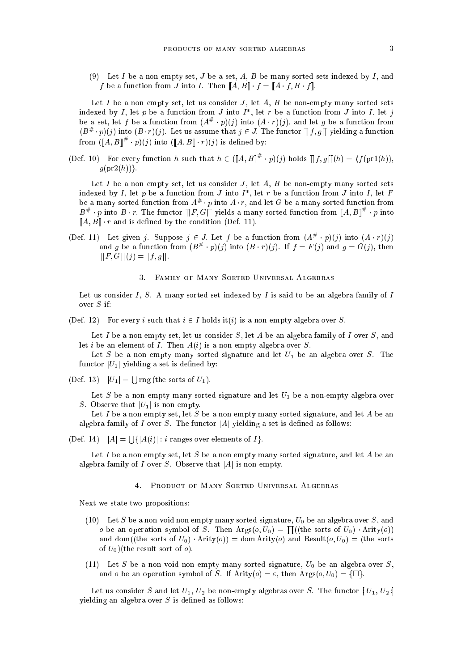(9) Let I be a non empty set, J be a set, A, B be many sorted sets indexed by I, and f be a function from J into I. Then  $[[A, B]] \cdot f = [A \cdot f, B \cdot f]]$ .

Let I be a non empty set, let us consider J, let A, B be non-empty many sorted sets indexed by 1, let  $p$  be a function from J into I , let  $r$  be a function from J into I, let  $\jmath$ be a set, let f be a function from  $(A^u + p)(j)$  into  $(A \cdot r)(j)$ , and let g be a function from  $(D^{\mu} \cdot p)(j)$  into  $(D \cdot r)(j)$ . Let us assume that  $j \in J$ . The functor  $||[j, g||]$  yielding a function from  $(\|A, B\|^n \cdot p)(\eta)$  into  $(\|A, B\| \cdot r)(\eta)$  is defined by:

(Def. 10) For every function h such that  $h \in (||A, B||' \cdot p)(\eta)$  holds  $||f, g||(h) = \langle f(p r 1(h)),$  $g(\text{pr2}(h))$ .

Let  $I$  be a non empty set, let us consider  $J$ , let  $A$ ,  $B$  be non-empty many sorted sets indexed by  $I$ , let  $p$  be a function from J into  $I$  , let  $r$  be a function from J into  $I$ , let  $\overline{r}$ be a many sorted function from  $A^{\mu}$   $\cdot$   $p$  filto  $A$   $\cdot$   $r,$  and let  $G$  be a many sorted function from  $B^{\#} \cdot p$  into  $B \cdot r$ . The functor  $||F, G||$  yields a many sorted function from  $||A, B||^{\#} \cdot p$  into  $[[A, B]] \cdot r$  and is defined by the condition (Def. 11).

(Def. 11) Let given *j*. Suppose  $j \in J$ . Let f be a function from  $(A^u + p)(j)$  into  $(A + r)(j)$ and g be a function from  $(B^u \cdot p)(j)$  into  $(B \cdot r)(j)$ . If  $j = r(j)$  and  $g = G(j)$ , then  $\Vert F, G \Vert (j) = \Vert f, g \Vert.$ 

#### FAMILY OF MANY SORTED UNIVERSAL ALGEBRAS  $\mathbf{R}$

Let us consider I, S. A many sorted set indexed by I is said to be an algebra family of I over S if:

(Def. 12) For every i such that  $i \in I$  holds it(i) is a non-empty algebra over S.

Let I be a non empty set, let us consider  $S$ , let A be an algebra family of I over  $S$ , and let *i* be an element of *I*. Then  $A(i)$  is a non-empty algebra over *S*.

Let S be a non empty many sorted signature and let  $U_1$  be an algebra over S. The functor  $|U_1|$  yielding a set is defined by:

(Def. 13)  $|U_1| = |\text{Jrng}$  (the sorts of  $U_1$ ).

Let  $S$  be a non empty many sorted signature and let  $U_1$  be a non-empty algebra over S. Observe that  $|U_1|$  is non empty.

Let I be a non empty set, let S be a non empty many sorted signature, and let A be an algebra family of I over S. The functor |A| yielding a set is defined as follows:

 $(\text{Def. } 14)$   $|A| = |f(A(i))| : i$  ranges over elements of  $I$ .

Let I be a non empty set, let S be a non empty many sorted signature, and let A be an algebra family of I over S. Observe that  $|A|$  is non empty.

#### PRODUCT OF MANY SORTED UNIVERSAL ALGEBRAS  $\overline{4}$

Next we state two propositions:

- (10) Let S be a non void non empty many sorted signature,  $U_0$  be an algebra over S, and o be an operation symbol of S. Then  $Args(o, U_0) = \prod((the sorts of U_0) \cdot Airty(o))$ and dom((the sorts of  $U_0$ )  $\cdot$  Arity(*o*)) = dom Arity(*o*) and Result(*o*,  $U_0$ ) = (the sorts of  $U_0$ )(the result sort of  $o$ ).
- (11) Let S be a non void non empty many sorted signature,  $U_0$  be an algebra over S, and o be an operation symbol of S. If Arity(o) =  $\varepsilon$ , then Args(o,  $U_0$ ) =  $\{\Box\}$ .

Let us consider S and let  $U_1, U_2$  be non-empty algebras over S. The functor  $[U_1, U_2]$ yielding an algebra over  $S$  is defined as follows: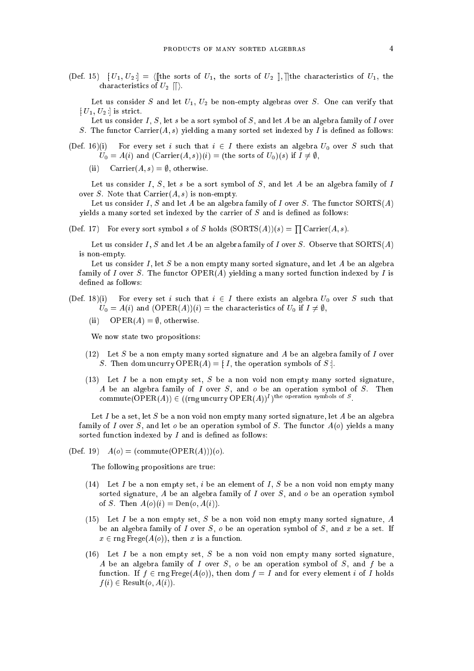(Def. 15)  $[U_1, U_2] = \langle$  [the sorts of  $U_1$ , the sorts of  $U_2$  ], ] the characteristics of  $U_1$ , the characteristics of  $U_2$   $\langle \cdot \rangle$ .

Let us consider S and let  $U_1$ ,  $U_2$  be non-empty algebras over S. One can verify that  $[U_1, U_2]$  is strict.

Let us consider I, S, let s be a sort symbol of S, and let A be an algebra family of I over S. The functor Carrier $(A, s)$  yielding a many sorted set indexed by I is defined as follows:

- (Def. 16)(i) For every set i such that  $i \in I$  there exists an algebra  $U_0$  over S such that  $U_0 = A(i)$  and  $(Carrier(A, s))(i) = (the sorts of U_0)(s)$  if  $I \neq \emptyset$ ,
	- (ii) Carrier $(A, s) = \emptyset$ , otherwise.

Let us consider I, S, let s be a sort symbol of S, and let A be an algebra family of I over S. Note that  $\text{Carrier}(A, s)$  is non-empty.

Let us consider I, S and let A be an algebra family of I over S. The functor  $SORTS(A)$ yields a many sorted set indexed by the carrier of  $S$  and is defined as follows:

(Def. 17) For every sort symbol s of S holds  $(SORTS(A))(s) = \prod Carrier(A, s)$ .

Let us consider I, S and let A be an algebra family of I over S. Observe that  $SORTS(A)$ is non-empty.

Let us consider  $I$ , let  $S$  be a non empty many sorted signature, and let  $A$  be an algebra family of I over S. The functor  $\mathrm{OPER}(A)$  yielding a many sorted function indexed by I is defined as follows:

(Def. 18)(i) For every set i such that  $i \in I$  there exists an algebra  $U_0$  over S such that  $U_0 = A(i)$  and  $(OPER(A))(i) =$  the characteristics of  $U_0$  if  $I \neq \emptyset$ ,

(ii) OPER(A) =  $\emptyset$ , otherwise.

We now state two propositions:

- (12) Let S be a non empty many sorted signature and A be an algebra family of I over S. Then dom uncurry OPER(A) = [I], the operation symbols of S.
- (13) Let I be a non empty set, S be a non void non empty many sorted signature, A be an algebra family of  $I$  over  $S$ , and  $o$  be an operation symbol of  $S$ . Then commute(OPER(A))  $\in$  ((rng uncurry OPER(A))<sup>I</sup>)<sup>the operation</sup> symbols of S.

Let I be a set, let S be a non void non empty many sorted signature, let A be an algebra family of I over S, and let o be an operation symbol of S. The functor  $A(o)$  yields a many sorted function indexed by  $I$  and is defined as follows:

(Def. 19)  $A(o) = (commute(OPER(A)))(o).$ 

The following propositions are true:

- (14) Let I be a non empty set, i be an element of I, S be a non void non empty many sorted signature, A be an algebra family of I over  $S$ , and  $o$  be an operation symbol of S. Then  $A(o)(i) = \text{Den}(o, A(i)).$
- (15) Let  $I$  be a non empty set,  $S$  be a non void non empty many sorted signature,  $A$ be an algebra family of I over  $S$ , o be an operation symbol of  $S$ , and x be a set. If  $x \in \text{rng } \text{Free}(A(o)), \text{ then } x \text{ is a function.}$
- (16) Let I be a non empty set, S be a non void non empty many sorted signature, A be an algebra family of I over  $S$ ,  $o$  be an operation symbol of  $S$ , and  $f$  be a function. If  $f \in \text{rng } \text{Free}(A(o))$ , then dom  $f = I$  and for every element i of I holds  $f(i) \in$  Result $(o, A(i))$ .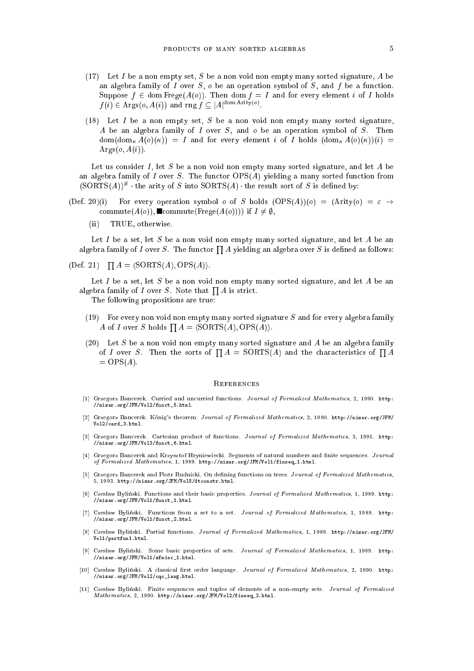- (17) Let I be a non empty set, S be a non void non empty many sorted signature, A be an algebra family of I over  $S$ ,  $o$  be an operation symbol of  $S$ , and  $f$  be a function. Suppose  $f \in \text{dom Frege}(A(o))$ . Then dom  $f = I$  and for every element i of I holds  $f(i) \in \text{Args}(o, A(i))$  and rng  $f \subseteq |A|^{\text{dom Artity}(o)}$ .
- (18) Let I be a non empty set, S be a non void non empty many sorted signature, A be an algebra family of  $I$  over  $S$ , and  $o$  be an operation symbol of  $S$ . Then  $dom(\text{dom}_{\kappa} A(o)(\kappa)) = I$  and for every element i of I holds  $(\text{dom}_{\kappa} A(o)(\kappa))(i) =$  $\text{Args}(o, A(i)).$

Let us consider I, let S be a non void non empty many sorted signature, and let A be an algebra family of I over S. The functor  $OPS(A)$  yielding a many sorted function from  $(SOLL5(A))$   $^{\prime\prime}$   $\cdot$  the arity of S into SORTS(A)  $\cdot$  the result sort of S is defined by:

- (Def. 20)(i) For every operation symbol o of S holds  $(OPS(A))(o) = (Arity(o) = \varepsilon \rightarrow$ commute( $A(o)$ ), commute(Frege( $A(o)$ ))) if  $I \neq \emptyset$ ,
	- TRUE, otherwise.  $(ii)$

Let I be a set, let S be a non void non empty many sorted signature, and let A be an algebra family of I over S. The functor  $\prod A$  yielding an algebra over S is defined as follows:

 $(\text{Def. 21})$   $\prod A = \langle \text{SORTS}(A), \text{OPS}(A) \rangle.$ 

Let I be a set, let S be a non void non empty many sorted signature, and let A be an algebra family of I over S. Note that  $\prod A$  is strict.

The following propositions are true:

- (19) For every non void non empty many sorted signature  $S$  and for every algebra family A of I over S holds  $\prod A = \langle \text{SORTS}(A), \text{OPS}(A) \rangle$ .
- (20) Let S be a non void non empty many sorted signature and A be an algebra family of I over S. Then the sorts of  $\prod A = \text{SORTS}(A)$  and the characteristics of  $\prod A$  $=$  OPS( $A$ ).

### **REFERENCES**

- [1] Grzegorz Bancerek. Curried and uncurried functions. Journal of Formalized Mathematics, 2, 1990. http: //mizar.org/JFM/Vol2/funct\_5.html.
- [2] Grzegorz Bancerek. Konig's theorem. Journal of Formalized Mathematics, 2, 1990. http://mizar.org/JFM/ Vol2/card\_3.html.
- [3] Grzegorz Bancerek. Cartesian product of functions. Journal of Formalized Mathematics, 3, 1991. http: //mizar.org/JFM/Vol3/funct\_6.html.
- [4] Grzegorz Bancerek and Krzysztof Hryniewiecki. Segments of natural numbers and finite sequences. Journal of Formalized Mathematics, 1, 1989. http://mizar.org/JFM/Vol1/finseq\_1.html.
- [5] Grzegorz Bancerek and Piotr Rudnicki. On defining functions on trees. Journal of Formalized Mathematics, 5, 1993. http://mizar.org/JFM/Vol5/dtconstr.html.
- [6] Czesław Byliński. Functions and their basic properties. Journal of Formalized Mathematics, 1, 1989. http: //mizar.org/JFM/Vol1/funct\_1.html.
- [7] Czesław Byliński. Functions from a set to a set. Journal of Formalized Mathematics, 1, 1989. http: //mizar.org/JFM/Vol1/funct\_2.html.
- [8] Czes law Bylinski. Partial functions. Journal of Formalized Mathematics, 1, 1989. http://mizar.org/JFM/ Vol1/partfun1.html.
- [9] Czesław Byliński. Some basic properties of sets. Journal of Formalized Mathematics, 1, 1989. http: //mizar.org/JFM/Vol1/zfmisc\_1.html.
- [10] Czesław Byliński. A classical first order language. Journal of Formalized Mathematics, 2, 1990. http: //mizar.org/JFM/Vol2/cqc\_lang.html.
- [11] Czesław Byliński. Finite sequences and tuples of elements of a non-empty sets. Journal of Formalized  $\mathit{Mathematics},\ 2,\ 1990.\$ http://mizar.org/JFM/Vol2/finseq\_2.html.